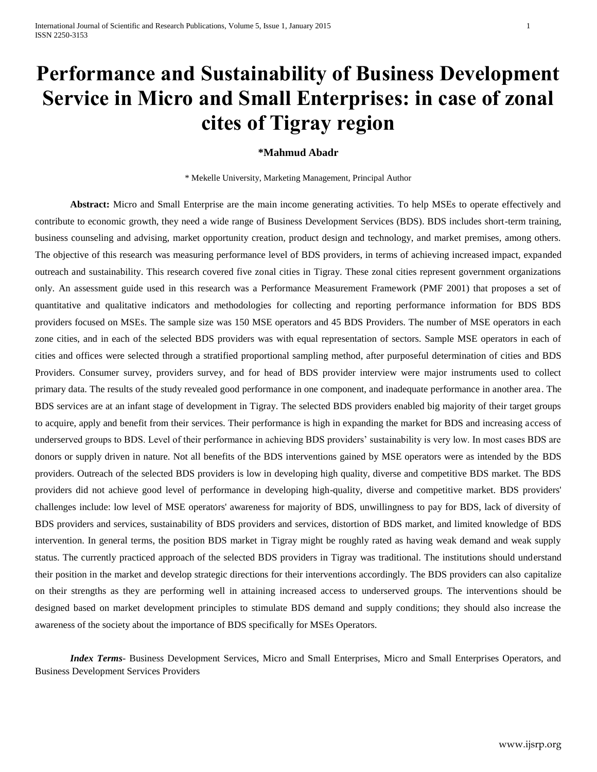# **Performance and Sustainability of Business Development Service in Micro and Small Enterprises: in case of zonal cites of Tigray region**

## **\*Mahmud Abadr**

\* Mekelle University, Marketing Management, Principal Author

**Abstract:** Micro and Small Enterprise are the main income generating activities. To help MSEs to operate effectively and contribute to economic growth, they need a wide range of Business Development Services (BDS). BDS includes short-term training, business counseling and advising, market opportunity creation, product design and technology, and market premises, among others. The objective of this research was measuring performance level of BDS providers, in terms of achieving increased impact, expanded outreach and sustainability. This research covered five zonal cities in Tigray. These zonal cities represent government organizations only. An assessment guide used in this research was a Performance Measurement Framework (PMF 2001) that proposes a set of quantitative and qualitative indicators and methodologies for collecting and reporting performance information for BDS BDS providers focused on MSEs. The sample size was 150 MSE operators and 45 BDS Providers. The number of MSE operators in each zone cities, and in each of the selected BDS providers was with equal representation of sectors. Sample MSE operators in each of cities and offices were selected through a stratified proportional sampling method, after purposeful determination of cities and BDS Providers. Consumer survey, providers survey, and for head of BDS provider interview were major instruments used to collect primary data. The results of the study revealed good performance in one component, and inadequate performance in another area. The BDS services are at an infant stage of development in Tigray. The selected BDS providers enabled big majority of their target groups to acquire, apply and benefit from their services. Their performance is high in expanding the market for BDS and increasing access of underserved groups to BDS. Level of their performance in achieving BDS providers' sustainability is very low. In most cases BDS are donors or supply driven in nature. Not all benefits of the BDS interventions gained by MSE operators were as intended by the BDS providers. Outreach of the selected BDS providers is low in developing high quality, diverse and competitive BDS market. The BDS providers did not achieve good level of performance in developing high-quality, diverse and competitive market. BDS providers' challenges include: low level of MSE operators' awareness for majority of BDS, unwillingness to pay for BDS, lack of diversity of BDS providers and services, sustainability of BDS providers and services, distortion of BDS market, and limited knowledge of BDS intervention. In general terms, the position BDS market in Tigray might be roughly rated as having weak demand and weak supply status. The currently practiced approach of the selected BDS providers in Tigray was traditional. The institutions should understand their position in the market and develop strategic directions for their interventions accordingly. The BDS providers can also capitalize on their strengths as they are performing well in attaining increased access to underserved groups. The interventions should be designed based on market development principles to stimulate BDS demand and supply conditions; they should also increase the awareness of the society about the importance of BDS specifically for MSEs Operators.

*Index Terms*- Business Development Services, Micro and Small Enterprises, Micro and Small Enterprises Operators, and Business Development Services Providers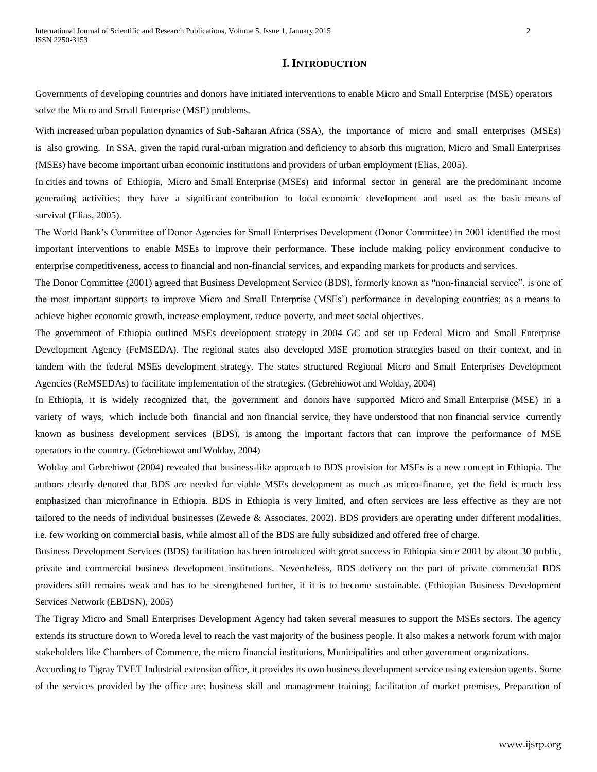## **I. INTRODUCTION**

Governments of developing countries and donors have initiated interventions to enable Micro and Small Enterprise (MSE) operators solve the Micro and Small Enterprise (MSE) problems.

With increased urban population dynamics of Sub-Saharan Africa (SSA), the importance of micro and small enterprises (MSEs) is also growing. In SSA, given the rapid rural-urban migration and deficiency to absorb this migration, Micro and Small Enterprises (MSEs) have become important urban economic institutions and providers of urban employment (Elias, 2005).

In cities and towns of Ethiopia, Micro and Small Enterprise (MSEs) and informal sector in general are the predominant income generating activities; they have a significant contribution to local economic development and used as the basic means of survival (Elias, 2005).

The World Bank's Committee of Donor Agencies for Small Enterprises Development (Donor Committee) in 2001 identified the most important interventions to enable MSEs to improve their performance. These include making policy environment conducive to enterprise competitiveness, access to financial and non-financial services, and expanding markets for products and services.

The Donor Committee (2001) agreed that Business Development Service (BDS), formerly known as "non-financial service", is one of the most important supports to improve Micro and Small Enterprise (MSEs') performance in developing countries; as a means to achieve higher economic growth, increase employment, reduce poverty, and meet social objectives.

The government of Ethiopia outlined MSEs development strategy in 2004 GC and set up Federal Micro and Small Enterprise Development Agency (FeMSEDA). The regional states also developed MSE promotion strategies based on their context, and in tandem with the federal MSEs development strategy. The states structured Regional Micro and Small Enterprises Development Agencies (ReMSEDAs) to facilitate implementation of the strategies. (Gebrehiowot and Wolday, 2004)

In Ethiopia, it is widely recognized that, the government and donors have supported Micro and Small Enterprise (MSE) in a variety of ways, which include both financial and non financial service, they have understood that non financial service currently known as business development services (BDS), is among the important factors that can improve the performance of MSE operators in the country. (Gebrehiowot and Wolday, 2004)

Wolday and Gebrehiwot (2004) revealed that business-like approach to BDS provision for MSEs is a new concept in Ethiopia. The authors clearly denoted that BDS are needed for viable MSEs development as much as micro-finance, yet the field is much less emphasized than microfinance in Ethiopia. BDS in Ethiopia is very limited, and often services are less effective as they are not tailored to the needs of individual businesses (Zewede & Associates, 2002). BDS providers are operating under different modalities, i.e. few working on commercial basis, while almost all of the BDS are fully subsidized and offered free of charge.

Business Development Services (BDS) facilitation has been introduced with great success in Ethiopia since 2001 by about 30 public, private and commercial business development institutions. Nevertheless, BDS delivery on the part of private commercial BDS providers still remains weak and has to be strengthened further, if it is to become sustainable. (Ethiopian Business Development Services Network (EBDSN), 2005)

The Tigray Micro and Small Enterprises Development Agency had taken several measures to support the MSEs sectors. The agency extends its structure down to Woreda level to reach the vast majority of the business people. It also makes a network forum with major stakeholders like Chambers of Commerce, the micro financial institutions, Municipalities and other government organizations.

According to Tigray TVET Industrial extension office, it provides its own business development service using extension agents. Some of the services provided by the office are: business skill and management training, facilitation of market premises, Preparation of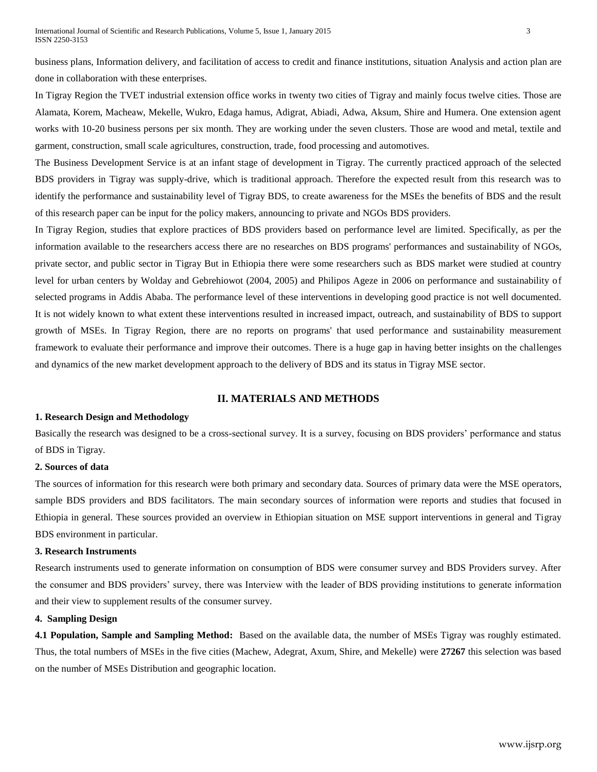business plans, Information delivery, and facilitation of access to credit and finance institutions, situation Analysis and action plan are done in collaboration with these enterprises.

In Tigray Region the TVET industrial extension office works in twenty two cities of Tigray and mainly focus twelve cities. Those are Alamata, Korem, Macheaw, Mekelle, Wukro, Edaga hamus, Adigrat, Abiadi, Adwa, Aksum, Shire and Humera. One extension agent works with 10-20 business persons per six month. They are working under the seven clusters. Those are wood and metal, textile and garment, construction, small scale agricultures, construction, trade, food processing and automotives.

The Business Development Service is at an infant stage of development in Tigray. The currently practiced approach of the selected BDS providers in Tigray was supply-drive, which is traditional approach. Therefore the expected result from this research was to identify the performance and sustainability level of Tigray BDS, to create awareness for the MSEs the benefits of BDS and the result of this research paper can be input for the policy makers, announcing to private and NGOs BDS providers.

In Tigray Region, studies that explore practices of BDS providers based on performance level are limited. Specifically, as per the information available to the researchers access there are no researches on BDS programs' performances and sustainability of NGOs, private sector, and public sector in Tigray But in Ethiopia there were some researchers such as BDS market were studied at country level for urban centers by Wolday and Gebrehiowot (2004, 2005) and Philipos Ageze in 2006 on performance and sustainability of selected programs in Addis Ababa. The performance level of these interventions in developing good practice is not well documented. It is not widely known to what extent these interventions resulted in increased impact, outreach, and sustainability of BDS to support growth of MSEs. In Tigray Region, there are no reports on programs' that used performance and sustainability measurement framework to evaluate their performance and improve their outcomes. There is a huge gap in having better insights on the challenges and dynamics of the new market development approach to the delivery of BDS and its status in Tigray MSE sector.

## **II. MATERIALS AND METHODS**

#### **1. Research Design and Methodology**

Basically the research was designed to be a cross-sectional survey. It is a survey, focusing on BDS providers' performance and status of BDS in Tigray.

### **2. Sources of data**

The sources of information for this research were both primary and secondary data. Sources of primary data were the MSE operators, sample BDS providers and BDS facilitators. The main secondary sources of information were reports and studies that focused in Ethiopia in general. These sources provided an overview in Ethiopian situation on MSE support interventions in general and Tigray BDS environment in particular.

#### **3. Research Instruments**

Research instruments used to generate information on consumption of BDS were consumer survey and BDS Providers survey. After the consumer and BDS providers' survey, there was Interview with the leader of BDS providing institutions to generate information and their view to supplement results of the consumer survey.

#### **4. Sampling Design**

**4.1 Population, Sample and Sampling Method:** Based on the available data, the number of MSEs Tigray was roughly estimated. Thus, the total numbers of MSEs in the five cities (Machew, Adegrat, Axum, Shire, and Mekelle) were **27267** this selection was based on the number of MSEs Distribution and geographic location.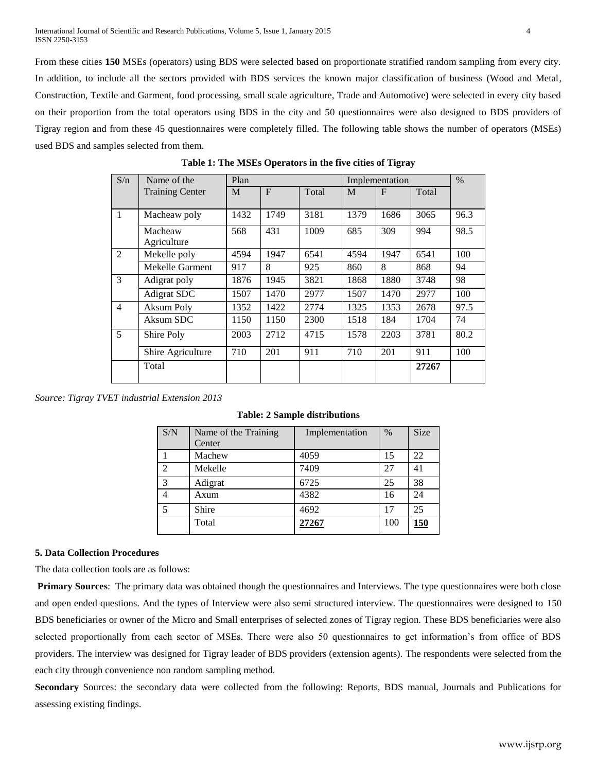From these cities **150** MSEs (operators) using BDS were selected based on proportionate stratified random sampling from every city. In addition, to include all the sectors provided with BDS services the known major classification of business (Wood and Metal, Construction, Textile and Garment, food processing, small scale agriculture, Trade and Automotive) were selected in every city based on their proportion from the total operators using BDS in the city and 50 questionnaires were also designed to BDS providers of Tigray region and from these 45 questionnaires were completely filled. The following table shows the number of operators (MSEs) used BDS and samples selected from them.

| S/n            | Name of the            | Plan |      |       | Implementation |      |       | $\%$ |
|----------------|------------------------|------|------|-------|----------------|------|-------|------|
|                | <b>Training Center</b> | M    | F    | Total | M              | F    | Total |      |
| 1              | Macheaw poly           | 1432 | 1749 | 3181  | 1379           | 1686 | 3065  | 96.3 |
|                | Macheaw<br>Agriculture | 568  | 431  | 1009  | 685            | 309  | 994   | 98.5 |
| 2              | Mekelle poly           | 4594 | 1947 | 6541  | 4594           | 1947 | 6541  | 100  |
|                | Mekelle Garment        | 917  | 8    | 925   | 860            | 8    | 868   | 94   |
| 3              | Adigrat poly           | 1876 | 1945 | 3821  | 1868           | 1880 | 3748  | 98   |
|                | Adigrat SDC            | 1507 | 1470 | 2977  | 1507           | 1470 | 2977  | 100  |
| $\overline{4}$ | Aksum Poly             | 1352 | 1422 | 2774  | 1325           | 1353 | 2678  | 97.5 |
|                | Aksum SDC              | 1150 | 1150 | 2300  | 1518           | 184  | 1704  | 74   |
| $\mathfrak{S}$ | Shire Poly             | 2003 | 2712 | 4715  | 1578           | 2203 | 3781  | 80.2 |
|                | Shire Agriculture      | 710  | 201  | 911   | 710            | 201  | 911   | 100  |
|                | Total                  |      |      |       |                |      | 27267 |      |

**Table 1: The MSEs Operators in the five cities of Tigray**

*Source: Tigray TVET industrial Extension 2013*

| S/N            | Name of the Training<br>Center | Implementation | $\frac{0}{0}$ | Size        |
|----------------|--------------------------------|----------------|---------------|-------------|
|                | Machew                         | 4059           | 15            | 22          |
| 2              | Mekelle                        | 7409           | 27            | 41          |
| 3              | Adigrat                        | 6725           | 25            | 38          |
| $\overline{4}$ | Axum                           | 4382           | 16            | 24          |
| 5              | Shire                          | 4692           | 17            | 25          |
|                | Total                          | 27267          | 100           | <u> 150</u> |

**Table: 2 Sample distributions**

#### **5. Data Collection Procedures**

The data collection tools are as follows:

**Primary Sources**: The primary data was obtained though the questionnaires and Interviews. The type questionnaires were both close and open ended questions. And the types of Interview were also semi structured interview. The questionnaires were designed to 150 BDS beneficiaries or owner of the Micro and Small enterprises of selected zones of Tigray region. These BDS beneficiaries were also selected proportionally from each sector of MSEs. There were also 50 questionnaires to get information's from office of BDS providers. The interview was designed for Tigray leader of BDS providers (extension agents). The respondents were selected from the each city through convenience non random sampling method.

**Secondary** Sources: the secondary data were collected from the following: Reports, BDS manual, Journals and Publications for assessing existing findings.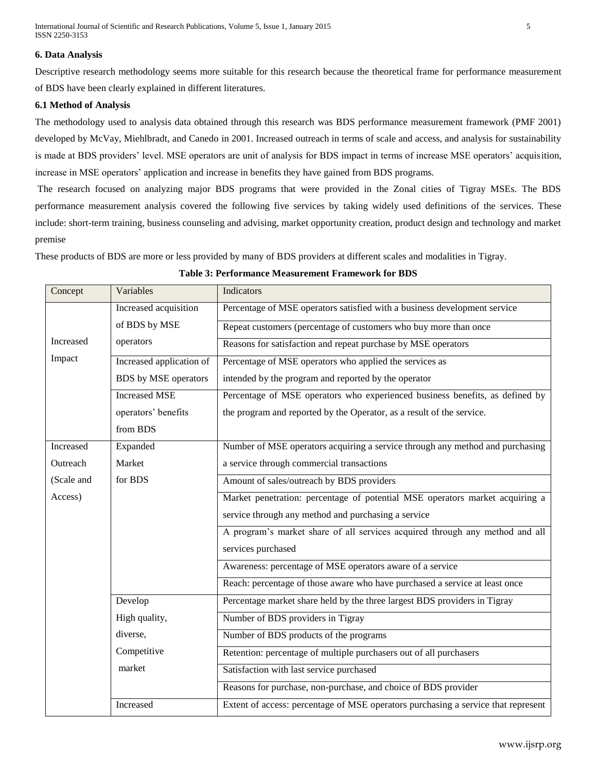### **6. Data Analysis**

Descriptive research methodology seems more suitable for this research because the theoretical frame for performance measurement of BDS have been clearly explained in different literatures.

### **6.1 Method of Analysis**

The methodology used to analysis data obtained through this research was BDS performance measurement framework (PMF 2001) developed by McVay, Miehlbradt, and Canedo in 2001. Increased outreach in terms of scale and access, and analysis for sustainability is made at BDS providers' level. MSE operators are unit of analysis for BDS impact in terms of increase MSE operators' acquisition, increase in MSE operators' application and increase in benefits they have gained from BDS programs.

The research focused on analyzing major BDS programs that were provided in the Zonal cities of Tigray MSEs. The BDS performance measurement analysis covered the following five services by taking widely used definitions of the services. These include: short-term training, business counseling and advising, market opportunity creation, product design and technology and market premise

These products of BDS are more or less provided by many of BDS providers at different scales and modalities in Tigray.

**Table 3: Performance Measurement Framework for BDS**

| Concept    | Variables                | <b>Indicators</b>                                                                 |
|------------|--------------------------|-----------------------------------------------------------------------------------|
|            | Increased acquisition    | Percentage of MSE operators satisfied with a business development service         |
|            | of BDS by MSE            | Repeat customers (percentage of customers who buy more than once                  |
| Increased  | operators                | Reasons for satisfaction and repeat purchase by MSE operators                     |
| Impact     | Increased application of | Percentage of MSE operators who applied the services as                           |
|            | BDS by MSE operators     | intended by the program and reported by the operator                              |
|            | <b>Increased MSE</b>     | Percentage of MSE operators who experienced business benefits, as defined by      |
|            | operators' benefits      | the program and reported by the Operator, as a result of the service.             |
|            | from BDS                 |                                                                                   |
| Increased  | Expanded                 | Number of MSE operators acquiring a service through any method and purchasing     |
| Outreach   | Market                   | a service through commercial transactions                                         |
| (Scale and | for BDS                  | Amount of sales/outreach by BDS providers                                         |
| Access)    |                          | Market penetration: percentage of potential MSE operators market acquiring a      |
|            |                          | service through any method and purchasing a service                               |
|            |                          | A program's market share of all services acquired through any method and all      |
|            |                          | services purchased                                                                |
|            |                          | Awareness: percentage of MSE operators aware of a service                         |
|            |                          | Reach: percentage of those aware who have purchased a service at least once       |
|            | Develop                  | Percentage market share held by the three largest BDS providers in Tigray         |
|            | High quality,            | Number of BDS providers in Tigray                                                 |
|            | diverse,                 | Number of BDS products of the programs                                            |
|            | Competitive              | Retention: percentage of multiple purchasers out of all purchasers                |
|            | market                   | Satisfaction with last service purchased                                          |
|            |                          | Reasons for purchase, non-purchase, and choice of BDS provider                    |
|            | Increased                | Extent of access: percentage of MSE operators purchasing a service that represent |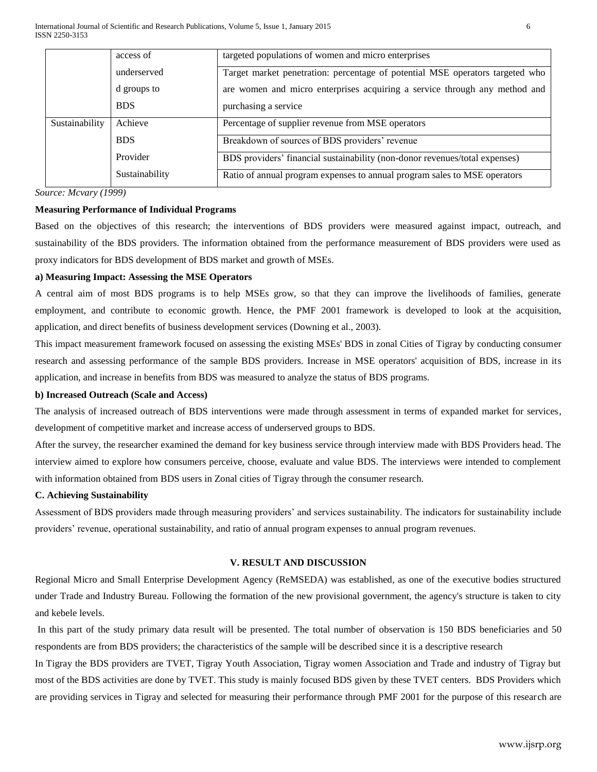|                | access of      | targeted populations of women and micro enterprises                           |  |
|----------------|----------------|-------------------------------------------------------------------------------|--|
|                | underserved    | Target market penetration: percentage of potential MSE operators targeted who |  |
|                | d groups to    | are women and micro enterprises acquiring a service through any method and    |  |
|                | <b>BDS</b>     | purchasing a service                                                          |  |
| Sustainability | Achieve        | Percentage of supplier revenue from MSE operators                             |  |
|                | <b>BDS</b>     | Breakdown of sources of BDS providers' revenue                                |  |
|                | Provider       | BDS providers' financial sustainability (non-donor revenues/total expenses)   |  |
|                | Sustainability | Ratio of annual program expenses to annual program sales to MSE operators     |  |

*Source: Mcvary (1999)*

## **Measuring Performance of Individual Programs**

Based on the objectives of this research; the interventions of BDS providers were measured against impact, outreach, and sustainability of the BDS providers. The information obtained from the performance measurement of BDS providers were used as proxy indicators for BDS development of BDS market and growth of MSEs.

## **a) Measuring Impact: Assessing the MSE Operators**

A central aim of most BDS programs is to help MSEs grow, so that they can improve the livelihoods of families, generate employment, and contribute to economic growth. Hence, the PMF 2001 framework is developed to look at the acquisition, application, and direct benefits of business development services (Downing et al., 2003).

This impact measurement framework focused on assessing the existing MSEs' BDS in zonal Cities of Tigray by conducting consumer research and assessing performance of the sample BDS providers. Increase in MSE operators' acquisition of BDS, increase in its application, and increase in benefits from BDS was measured to analyze the status of BDS programs.

#### **b) Increased Outreach (Scale and Access)**

The analysis of increased outreach of BDS interventions were made through assessment in terms of expanded market for services, development of competitive market and increase access of underserved groups to BDS.

After the survey, the researcher examined the demand for key business service through interview made with BDS Providers head. The interview aimed to explore how consumers perceive, choose, evaluate and value BDS. The interviews were intended to complement with information obtained from BDS users in Zonal cities of Tigray through the consumer research.

#### **C. Achieving Sustainability**

Assessment of BDS providers made through measuring providers' and services sustainability. The indicators for sustainability include providers' revenue, operational sustainability, and ratio of annual program expenses to annual program revenues.

## **V. RESULT AND DISCUSSION**

Regional Micro and Small Enterprise Development Agency (ReMSEDA) was established, as one of the executive bodies structured under Trade and Industry Bureau. Following the formation of the new provisional government, the agency's structure is taken to city and kebele levels.

In this part of the study primary data result will be presented. The total number of observation is 150 BDS beneficiaries and 50 respondents are from BDS providers; the characteristics of the sample will be described since it is a descriptive research

In Tigray the BDS providers are TVET, Tigray Youth Association, Tigray women Association and Trade and industry of Tigray but most of the BDS activities are done by TVET. This study is mainly focused BDS given by these TVET centers. BDS Providers which are providing services in Tigray and selected for measuring their performance through PMF 2001 for the purpose of this research are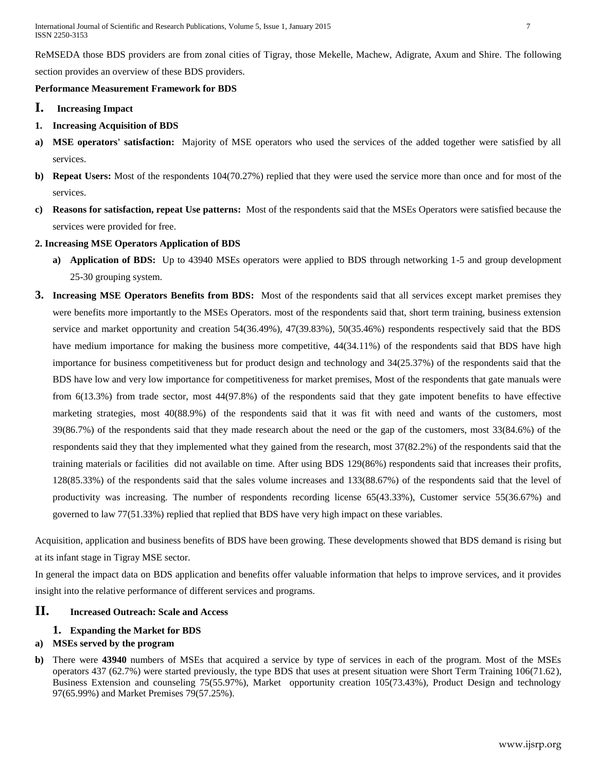ReMSEDA those BDS providers are from zonal cities of Tigray, those Mekelle, Machew, Adigrate, Axum and Shire. The following section provides an overview of these BDS providers.

## **Performance Measurement Framework for BDS**

- **I. Increasing Impact**
- **1. Increasing Acquisition of BDS**
- **a) MSE operators' satisfaction:** Majority of MSE operators who used the services of the added together were satisfied by all services.
- **b) Repeat Users:** Most of the respondents 104(70.27%) replied that they were used the service more than once and for most of the services.
- **c) Reasons for satisfaction, repeat Use patterns:** Most of the respondents said that the MSEs Operators were satisfied because the services were provided for free.

## **2. Increasing MSE Operators Application of BDS**

- **a) Application of BDS:** Up to 43940 MSEs operators were applied to BDS through networking 1-5 and group development 25-30 grouping system.
- **3. Increasing MSE Operators Benefits from BDS:** Most of the respondents said that all services except market premises they were benefits more importantly to the MSEs Operators. most of the respondents said that, short term training, business extension service and market opportunity and creation 54(36.49%), 47(39.83%), 50(35.46%) respondents respectively said that the BDS have medium importance for making the business more competitive,  $44(34.11%)$  of the respondents said that BDS have high importance for business competitiveness but for product design and technology and 34(25.37%) of the respondents said that the BDS have low and very low importance for competitiveness for market premises, Most of the respondents that gate manuals were from 6(13.3%) from trade sector, most 44(97.8%) of the respondents said that they gate impotent benefits to have effective marketing strategies, most 40(88.9%) of the respondents said that it was fit with need and wants of the customers, most 39(86.7%) of the respondents said that they made research about the need or the gap of the customers, most 33(84.6%) of the respondents said they that they implemented what they gained from the research, most 37(82.2%) of the respondents said that the training materials or facilities did not available on time. After using BDS 129(86%) respondents said that increases their profits, 128(85.33%) of the respondents said that the sales volume increases and 133(88.67%) of the respondents said that the level of productivity was increasing. The number of respondents recording license 65(43.33%), Customer service 55(36.67%) and governed to law 77(51.33%) replied that replied that BDS have very high impact on these variables.

Acquisition, application and business benefits of BDS have been growing. These developments showed that BDS demand is rising but at its infant stage in Tigray MSE sector.

In general the impact data on BDS application and benefits offer valuable information that helps to improve services, and it provides insight into the relative performance of different services and programs.

## **II. Increased Outreach: Scale and Access**

## **1. Expanding the Market for BDS**

## **a) MSEs served by the program**

**b)** There were **43940** numbers of MSEs that acquired a service by type of services in each of the program. Most of the MSEs operators 437 (62.7%) were started previously, the type BDS that uses at present situation were Short Term Training 106(71.62), Business Extension and counseling 75(55.97%), Market opportunity creation 105(73.43%), Product Design and technology 97(65.99%) and Market Premises 79(57.25%).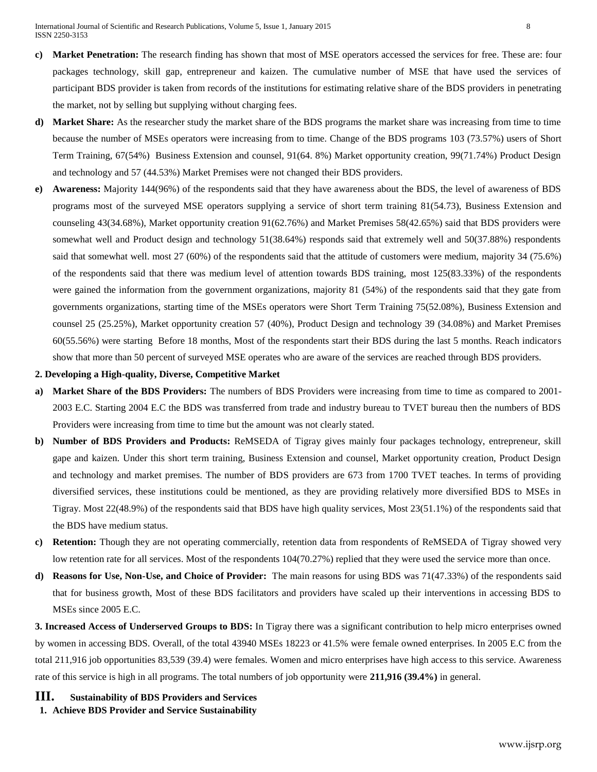- **c) Market Penetration:** The research finding has shown that most of MSE operators accessed the services for free. These are: four packages technology, skill gap, entrepreneur and kaizen. The cumulative number of MSE that have used the services of participant BDS provider is taken from records of the institutions for estimating relative share of the BDS providers in penetrating the market, not by selling but supplying without charging fees.
- **d) Market Share:** As the researcher study the market share of the BDS programs the market share was increasing from time to time because the number of MSEs operators were increasing from to time. Change of the BDS programs 103 (73.57%) users of Short Term Training, 67(54%) Business Extension and counsel, 91(64. 8%) Market opportunity creation, 99(71.74%) Product Design and technology and 57 (44.53%) Market Premises were not changed their BDS providers.
- **e) Awareness:** Majority 144(96%) of the respondents said that they have awareness about the BDS, the level of awareness of BDS programs most of the surveyed MSE operators supplying a service of short term training 81(54.73), Business Extension and counseling 43(34.68%), Market opportunity creation 91(62.76%) and Market Premises 58(42.65%) said that BDS providers were somewhat well and Product design and technology 51(38.64%) responds said that extremely well and 50(37.88%) respondents said that somewhat well. most 27 (60%) of the respondents said that the attitude of customers were medium, majority 34 (75.6%) of the respondents said that there was medium level of attention towards BDS training, most 125(83.33%) of the respondents were gained the information from the government organizations, majority 81 (54%) of the respondents said that they gate from governments organizations, starting time of the MSEs operators were Short Term Training 75(52.08%), Business Extension and counsel 25 (25.25%), Market opportunity creation 57 (40%), Product Design and technology 39 (34.08%) and Market Premises 60(55.56%) were starting Before 18 months, Most of the respondents start their BDS during the last 5 months. Reach indicators show that more than 50 percent of surveyed MSE operates who are aware of the services are reached through BDS providers.

#### **2. Developing a High-quality, Diverse, Competitive Market**

- **a) Market Share of the BDS Providers:** The numbers of BDS Providers were increasing from time to time as compared to 2001- 2003 E.C. Starting 2004 E.C the BDS was transferred from trade and industry bureau to TVET bureau then the numbers of BDS Providers were increasing from time to time but the amount was not clearly stated.
- **b) Number of BDS Providers and Products:** ReMSEDA of Tigray gives mainly four packages technology, entrepreneur, skill gape and kaizen. Under this short term training, Business Extension and counsel, Market opportunity creation, Product Design and technology and market premises. The number of BDS providers are 673 from 1700 TVET teaches. In terms of providing diversified services, these institutions could be mentioned, as they are providing relatively more diversified BDS to MSEs in Tigray. Most 22(48.9%) of the respondents said that BDS have high quality services, Most 23(51.1%) of the respondents said that the BDS have medium status.
- **c) Retention:** Though they are not operating commercially, retention data from respondents of ReMSEDA of Tigray showed very low retention rate for all services. Most of the respondents  $104(70.27%)$  replied that they were used the service more than once.
- **d) Reasons for Use, Non-Use, and Choice of Provider:** The main reasons for using BDS was 71(47.33%) of the respondents said that for business growth, Most of these BDS facilitators and providers have scaled up their interventions in accessing BDS to MSEs since 2005 E.C.

**3. Increased Access of Underserved Groups to BDS:** In Tigray there was a significant contribution to help micro enterprises owned by women in accessing BDS. Overall, of the total 43940 MSEs 18223 or 41.5% were female owned enterprises. In 2005 E.C from the total 211,916 job opportunities 83,539 (39.4) were females. Women and micro enterprises have high access to this service. Awareness rate of this service is high in all programs. The total numbers of job opportunity were **211,916 (39.4%)** in general.

## **III. Sustainability of BDS Providers and Services**

#### **1. Achieve BDS Provider and Service Sustainability**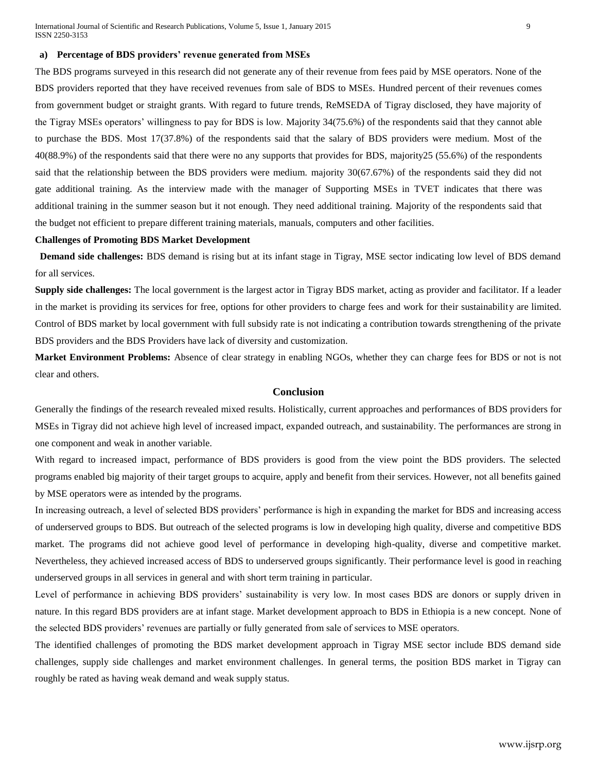#### **a) Percentage of BDS providers' revenue generated from MSEs**

The BDS programs surveyed in this research did not generate any of their revenue from fees paid by MSE operators. None of the BDS providers reported that they have received revenues from sale of BDS to MSEs. Hundred percent of their revenues comes from government budget or straight grants. With regard to future trends, ReMSEDA of Tigray disclosed, they have majority of the Tigray MSEs operators' willingness to pay for BDS is low. Majority 34(75.6%) of the respondents said that they cannot able to purchase the BDS. Most 17(37.8%) of the respondents said that the salary of BDS providers were medium. Most of the 40(88.9%) of the respondents said that there were no any supports that provides for BDS, majority25 (55.6%) of the respondents said that the relationship between the BDS providers were medium. majority 30(67.67%) of the respondents said they did not gate additional training. As the interview made with the manager of Supporting MSEs in TVET indicates that there was additional training in the summer season but it not enough. They need additional training. Majority of the respondents said that the budget not efficient to prepare different training materials, manuals, computers and other facilities.

## **Challenges of Promoting BDS Market Development**

 **Demand side challenges:** BDS demand is rising but at its infant stage in Tigray, MSE sector indicating low level of BDS demand for all services.

**Supply side challenges:** The local government is the largest actor in Tigray BDS market, acting as provider and facilitator. If a leader in the market is providing its services for free, options for other providers to charge fees and work for their sustainability are limited. Control of BDS market by local government with full subsidy rate is not indicating a contribution towards strengthening of the private BDS providers and the BDS Providers have lack of diversity and customization.

**Market Environment Problems:** Absence of clear strategy in enabling NGOs, whether they can charge fees for BDS or not is not clear and others.

#### **Conclusion**

Generally the findings of the research revealed mixed results. Holistically, current approaches and performances of BDS providers for MSEs in Tigray did not achieve high level of increased impact, expanded outreach, and sustainability. The performances are strong in one component and weak in another variable.

With regard to increased impact, performance of BDS providers is good from the view point the BDS providers. The selected programs enabled big majority of their target groups to acquire, apply and benefit from their services. However, not all benefits gained by MSE operators were as intended by the programs.

In increasing outreach, a level of selected BDS providers' performance is high in expanding the market for BDS and increasing access of underserved groups to BDS. But outreach of the selected programs is low in developing high quality, diverse and competitive BDS market. The programs did not achieve good level of performance in developing high-quality, diverse and competitive market. Nevertheless, they achieved increased access of BDS to underserved groups significantly. Their performance level is good in reaching underserved groups in all services in general and with short term training in particular.

Level of performance in achieving BDS providers' sustainability is very low. In most cases BDS are donors or supply driven in nature. In this regard BDS providers are at infant stage. Market development approach to BDS in Ethiopia is a new concept. None of the selected BDS providers' revenues are partially or fully generated from sale of services to MSE operators.

The identified challenges of promoting the BDS market development approach in Tigray MSE sector include BDS demand side challenges, supply side challenges and market environment challenges. In general terms, the position BDS market in Tigray can roughly be rated as having weak demand and weak supply status.